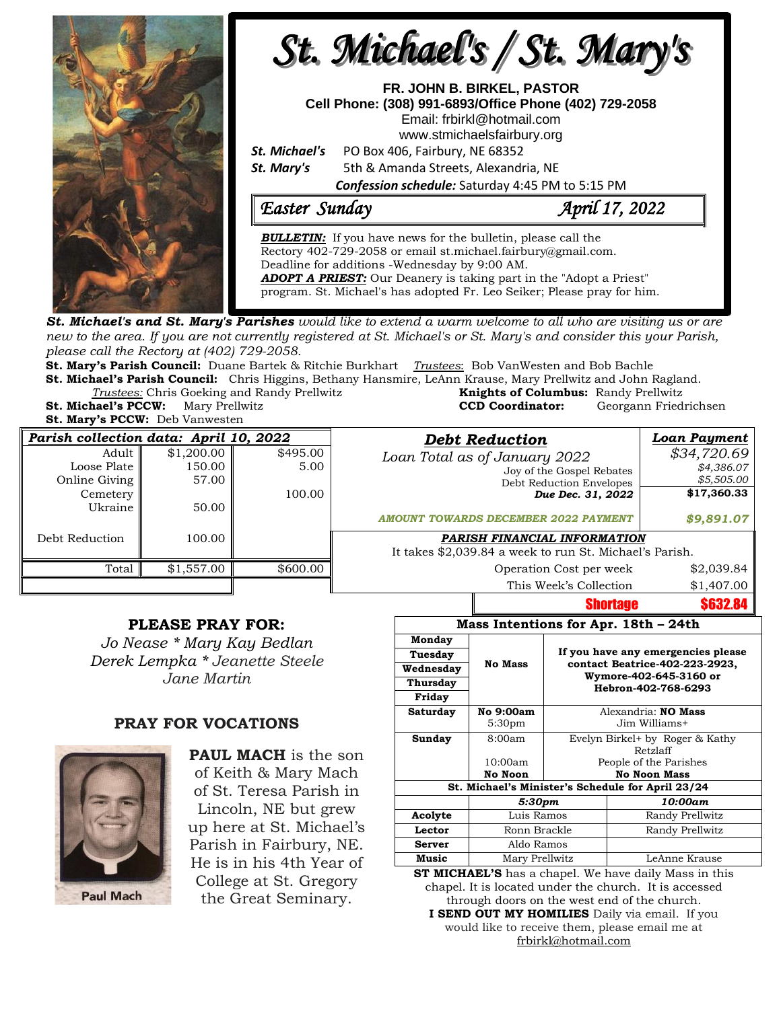

**St. Michael's and St. Mary's Parishes** would like to extend a warm welcome to all who are visiting us or are new to the area. If you are not currently registered at St. Michael's or St. Mary's and consider this your Parish, *please call the Rectory at (402) 729-2058.* 

**St. Mary's Parish Council:** Duane Bartek & Ritchie Burkhart *Trustees*: Bob VanWesten and Bob Bachle **St. Michael's Parish Council:** Chris Higgins, Bethany Hansmire, LeAnn Krause, Mary Prellwitz and John Ragland.

*Trustees:* Chris Goeking and Randy Prellwitz **Knights of Columbus:** Randy Prellwitz **St. Michael's PCCW:** Mary Prellwitz **CCD Coordinator:** Georgann Friedrichsen

**St. Mary's PCCW:** Deb Vanwesten

| <b>Debt Reduction</b>          | Parish collection data: April 10, 2022 |            |                |  |  |
|--------------------------------|----------------------------------------|------------|----------------|--|--|
| Loan Total as of Januari       | \$495.00                               | \$1,200.00 | Adult          |  |  |
| Joy of th                      | 5.00                                   | 150.00     | Loose Plate    |  |  |
| Debt Red                       |                                        | 57.00      | Online Giving  |  |  |
| Dι                             | 100.00                                 |            | Cemetery       |  |  |
|                                |                                        | 50.00      | Ukraine        |  |  |
| <b>AMOUNT TOWARDS DECEMBER</b> |                                        |            |                |  |  |
| PARISH FINANCIA                |                                        | 100.00     | Debt Reduction |  |  |
| It takes \$2,039.84 a week to  |                                        |            |                |  |  |
| Operation                      | \$600.00                               | \$1,557.00 | Total          |  |  |
| This W                         |                                        |            |                |  |  |

## **PLEASE PRAY FOR:**

*Jo Nease \* Mary Kay Bedlan Derek Lempka \* Jeanette Steele Jane Martin*

## **PRAY FOR VOCATIONS**



**PAUL MACH** is the son of Keith & Mary Mach of St. Teresa Parish in Lincoln, NE but grew up here at St. Michael's Parish in Fairbury, NE. He is in his 4th Year of College at St. Gregory the Great Seminary.

| arish collection data: April 10, 2022 |                      |                  | <b>Debt Reduction</b>                                   | Loan Payment              |
|---------------------------------------|----------------------|------------------|---------------------------------------------------------|---------------------------|
| Adult<br>Loose Plate                  | \$1,200.00<br>150.00 | \$495.00<br>5.00 | Loan Total as of January 2022                           | \$34,720.69<br>\$4,386.07 |
| Online Giving                         | 57.00                |                  | Joy of the Gospel Rebates<br>Debt Reduction Envelopes   | \$5,505.00                |
| Cemetery<br>Ukraine                   | 50.00                | 100.00           | Due Dec. 31, 2022                                       | \$17,360.33               |
|                                       |                      |                  | <b>AMOUNT TOWARDS DECEMBER 2022 PAYMENT</b>             | \$9,891.07                |
| Debt Reduction                        | 100.00               |                  | PARISH FINANCIAL INFORMATION                            |                           |
|                                       |                      |                  | It takes \$2,039.84 a week to run St. Michael's Parish. |                           |
| Total                                 | \$1,557.00           | \$600.00         | Operation Cost per week                                 | \$2,039.84                |
|                                       |                      |                  | This Week's Collection                                  | \$1,407.00                |
|                                       |                      |                  | <b>Shortage</b>                                         | \$632.84                  |

## **Mass Intentions for Apr. 18th – 24th**

| Monday                                            |                    |                                    |                                               |  |  |  |
|---------------------------------------------------|--------------------|------------------------------------|-----------------------------------------------|--|--|--|
| Tuesday                                           |                    | If you have any emergencies please |                                               |  |  |  |
| Wednesday                                         | <b>No Mass</b>     |                                    | contact Beatrice-402-223-2923,                |  |  |  |
| Thursday                                          |                    |                                    | Wymore-402-645-3160 or<br>Hebron-402-768-6293 |  |  |  |
| Friday                                            |                    |                                    |                                               |  |  |  |
| Saturday                                          | No 9:00am          | Alexandria: <b>NO Mass</b>         |                                               |  |  |  |
|                                                   | 5:30 <sub>pm</sub> | Jim Williams+                      |                                               |  |  |  |
| Sunday                                            | 8:00am             | Evelyn Birkel+ by Roger & Kathy    |                                               |  |  |  |
|                                                   |                    | Retzlaff                           |                                               |  |  |  |
|                                                   | 10:00am            | People of the Parishes             |                                               |  |  |  |
|                                                   | No Noon            | <b>No Noon Mass</b>                |                                               |  |  |  |
| St. Michael's Minister's Schedule for April 23/24 |                    |                                    |                                               |  |  |  |
|                                                   | 5:30 <sub>pm</sub> |                                    | 10:00am                                       |  |  |  |
| Acolyte                                           | Luis Ramos         |                                    | Randy Prellwitz                               |  |  |  |
| Lector                                            | Ronn Brackle       |                                    | Randy Prellwitz                               |  |  |  |
| <b>Server</b>                                     | Aldo Ramos         |                                    |                                               |  |  |  |
| Music                                             | Mary Prellwitz     |                                    | LeAnne Krause                                 |  |  |  |

**ST MICHAEL'S** has a chapel. We have daily Mass in this chapel. It is located under the church. It is accessed through doors on the west end of the church. **I SEND OUT MY HOMILIES** Daily via email. If you would like to receive them, please email me at [frbirkl@hotmail.com](mailto:frbirkl@hotmail.com)